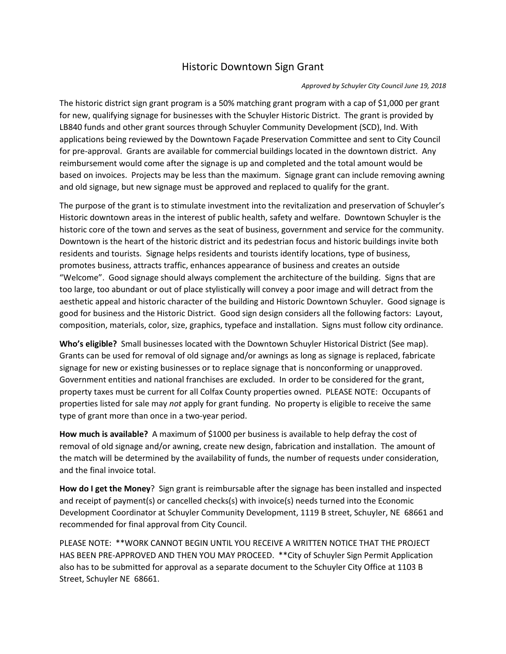## Historic Downtown Sign Grant

## *Approved by Schuyler City Council June 19, 2018*

The historic district sign grant program is a 50% matching grant program with a cap of \$1,000 per grant for new, qualifying signage for businesses with the Schuyler Historic District. The grant is provided by LB840 funds and other grant sources through Schuyler Community Development (SCD), Ind. With applications being reviewed by the Downtown Façade Preservation Committee and sent to City Council for pre-approval. Grants are available for commercial buildings located in the downtown district. Any reimbursement would come after the signage is up and completed and the total amount would be based on invoices. Projects may be less than the maximum. Signage grant can include removing awning and old signage, but new signage must be approved and replaced to qualify for the grant.

The purpose of the grant is to stimulate investment into the revitalization and preservation of Schuyler's Historic downtown areas in the interest of public health, safety and welfare. Downtown Schuyler is the historic core of the town and serves as the seat of business, government and service for the community. Downtown is the heart of the historic district and its pedestrian focus and historic buildings invite both residents and tourists. Signage helps residents and tourists identify locations, type of business, promotes business, attracts traffic, enhances appearance of business and creates an outside "Welcome". Good signage should always complement the architecture of the building. Signs that are too large, too abundant or out of place stylistically will convey a poor image and will detract from the aesthetic appeal and historic character of the building and Historic Downtown Schuyler. Good signage is good for business and the Historic District. Good sign design considers all the following factors: Layout, composition, materials, color, size, graphics, typeface and installation. Signs must follow city ordinance.

**Who's eligible?** Small businesses located with the Downtown Schuyler Historical District (See map). Grants can be used for removal of old signage and/or awnings as long as signage is replaced, fabricate signage for new or existing businesses or to replace signage that is nonconforming or unapproved. Government entities and national franchises are excluded. In order to be considered for the grant, property taxes must be current for all Colfax County properties owned. PLEASE NOTE: Occupants of properties listed for sale may *not* apply for grant funding. No property is eligible to receive the same type of grant more than once in a two-year period.

**How much is available?** A maximum of \$1000 per business is available to help defray the cost of removal of old signage and/or awning, create new design, fabrication and installation. The amount of the match will be determined by the availability of funds, the number of requests under consideration, and the final invoice total.

**How do I get the Money**? Sign grant is reimbursable after the signage has been installed and inspected and receipt of payment(s) or cancelled checks(s) with invoice(s) needs turned into the Economic Development Coordinator at Schuyler Community Development, 1119 B street, Schuyler, NE 68661 and recommended for final approval from City Council.

PLEASE NOTE: \*\*WORK CANNOT BEGIN UNTIL YOU RECEIVE A WRITTEN NOTICE THAT THE PROJECT HAS BEEN PRE-APPROVED AND THEN YOU MAY PROCEED. \*\*City of Schuyler Sign Permit Application also has to be submitted for approval as a separate document to the Schuyler City Office at 1103 B Street, Schuyler NE 68661.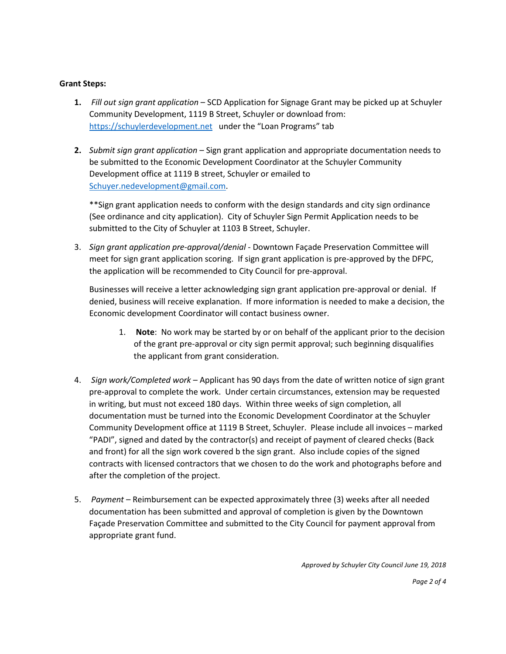## **Grant Steps:**

- **1.** *Fill out sign grant application* SCD Application for Signage Grant may be picked up at Schuyler Community Development, 1119 B Street, Schuyler or download from: [https://schuylerdevelopment.net](https://schuylerdevelopment.net/) under the "Loan Programs" tab
- **2.** *Submit sign grant application* Sign grant application and appropriate documentation needs to be submitted to the Economic Development Coordinator at the Schuyler Community Development office at 1119 B street, Schuyler or emailed to [Schuyer.nedevelopment@gmail.com.](mailto:Schuyer.nedevelopment@gmail.com)

\*\*Sign grant application needs to conform with the design standards and city sign ordinance (See ordinance and city application). City of Schuyler Sign Permit Application needs to be submitted to the City of Schuyler at 1103 B Street, Schuyler.

3. *Sign grant application pre-approval/denial* - Downtown Façade Preservation Committee will meet for sign grant application scoring. If sign grant application is pre-approved by the DFPC, the application will be recommended to City Council for pre-approval.

Businesses will receive a letter acknowledging sign grant application pre-approval or denial. If denied, business will receive explanation. If more information is needed to make a decision, the Economic development Coordinator will contact business owner.

- 1. **Note**: No work may be started by or on behalf of the applicant prior to the decision of the grant pre-approval or city sign permit approval; such beginning disqualifies the applicant from grant consideration.
- 4. *Sign work/Completed work* Applicant has 90 days from the date of written notice of sign grant pre-approval to complete the work. Under certain circumstances, extension may be requested in writing, but must not exceed 180 days. Within three weeks of sign completion, all documentation must be turned into the Economic Development Coordinator at the Schuyler Community Development office at 1119 B Street, Schuyler. Please include all invoices – marked "PADI", signed and dated by the contractor(s) and receipt of payment of cleared checks (Back and front) for all the sign work covered b the sign grant. Also include copies of the signed contracts with licensed contractors that we chosen to do the work and photographs before and after the completion of the project.
- 5. *Payment* Reimbursement can be expected approximately three (3) weeks after all needed documentation has been submitted and approval of completion is given by the Downtown Façade Preservation Committee and submitted to the City Council for payment approval from appropriate grant fund.

*Approved by Schuyler City Council June 19, 2018*

*Page 2 of 4*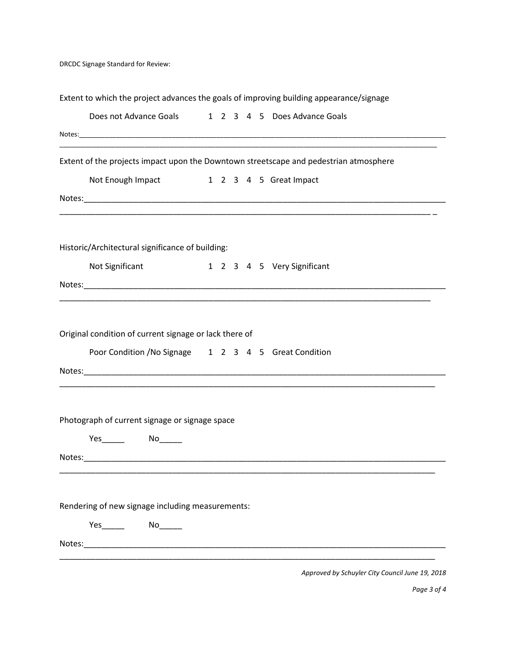DRCDC Signage Standard for Review:

|        | Extent to which the project advances the goals of improving building appearance/signage                         |  |  |                                                                                                                       |
|--------|-----------------------------------------------------------------------------------------------------------------|--|--|-----------------------------------------------------------------------------------------------------------------------|
|        | Does not Advance Goals 1 2 3 4 5 Does Advance Goals                                                             |  |  |                                                                                                                       |
|        |                                                                                                                 |  |  |                                                                                                                       |
|        |                                                                                                                 |  |  | Extent of the projects impact upon the Downtown streetscape and pedestrian atmosphere                                 |
|        | Not Enough Impact 1 2 3 4 5 Great Impact                                                                        |  |  |                                                                                                                       |
|        |                                                                                                                 |  |  | <u> 1989 - Johann Stoff, deutscher Stoff, der Stoff, der Stoff, der Stoff, der Stoff, der Stoff, der Stoff, der S</u> |
|        | Historic/Architectural significance of building:                                                                |  |  |                                                                                                                       |
|        | Not Significant                                                                                                 |  |  | 1 2 3 4 5 Very Significant                                                                                            |
|        |                                                                                                                 |  |  |                                                                                                                       |
|        |                                                                                                                 |  |  |                                                                                                                       |
|        | Original condition of current signage or lack there of<br>Poor Condition / No Signage 1 2 3 4 5 Great Condition |  |  |                                                                                                                       |
|        | Photograph of current signage or signage space                                                                  |  |  |                                                                                                                       |
| Notes: |                                                                                                                 |  |  |                                                                                                                       |
|        | Rendering of new signage including measurements:                                                                |  |  |                                                                                                                       |
| Notes: |                                                                                                                 |  |  |                                                                                                                       |